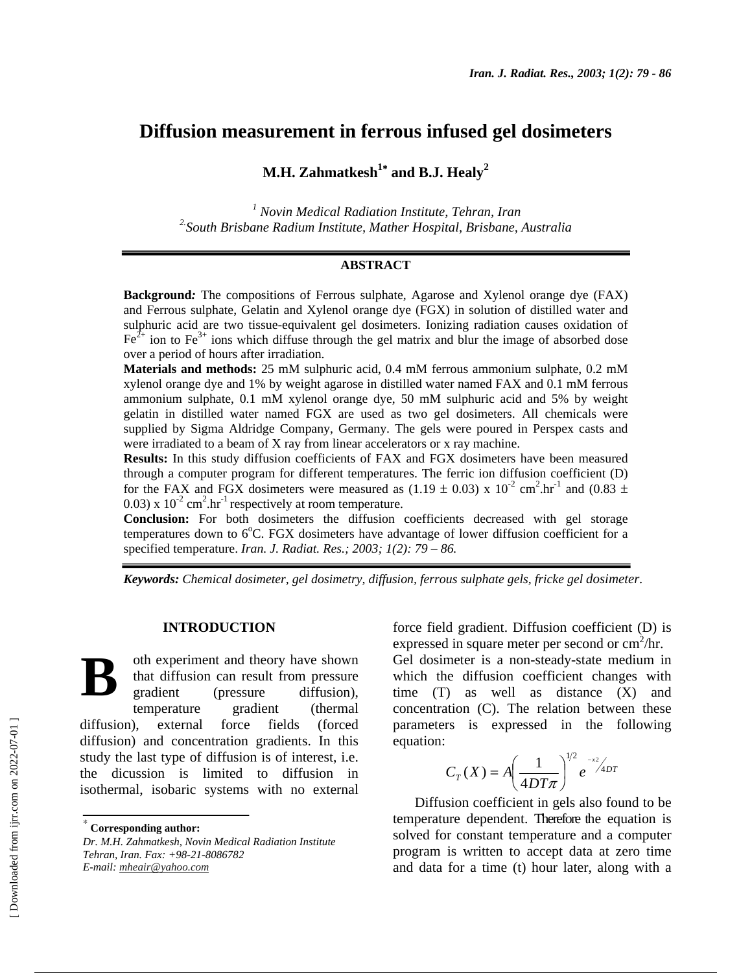# **Diffusion measurement in ferrous infused gel dosimeters**

# **M.H. Zahmatkesh<sup>1</sup>\* and B.J. Healy<sup>2</sup>**

*1 Novin Medical Radiation Institute, Tehran, Iran 2.South Brisbane Radium Institute, Mather Hospital, Brisbane, Australia*

#### **ABSTRACT**

**Background***:* The compositions of Ferrous sulphate, Agarose and Xylenol orange dye (FAX) and Ferrous sulphate, Gelatin and Xylenol orange dye (FGX) in solution of distilled water and sulphuric acid are two tissue-equivalent gel dosimeters. Ionizing radiation causes oxidation of  $Fe^{2+}$  ion to Fe<sup>3+</sup> ions which diffuse through the gel matrix and blur the image of absorbed dose over a period of hours after irradiation.

**Materials and methods:** 25 mM sulphuric acid, 0.4 mM ferrous ammonium sulphate, 0.2 mM xylenol orange dye and 1% by weight agarose in distilled water named FAX and 0.1 mM ferrous ammonium sulphate, 0.1 mM xylenol orange dye, 50 mM sulphuric acid and 5% by weight gelatin in distilled water named FGX are used as two gel dosimeters. All chemicals were supplied by Sigma Aldridge Company, Germany. The gels were poured in Perspex casts and were irradiated to a beam of X ray from linear accelerators or x ray machine.

**Results:** In this study diffusion coefficients of FAX and FGX dosimeters have been measured through a computer program for different temperatures. The ferric ion diffusion coefficient (D) for the FAX and FGX dosimeters were measured as  $(1.19 \pm 0.03)$  x  $10^{-2}$  cm<sup>2</sup>.hr<sup>-1</sup> and  $(0.83 \pm 0.03)$  $(0.03)$  x  $10^{-2}$  cm<sup>2</sup>.hr<sup>-1</sup> respectively at room temperature.

**Conclusion:** For both dosimeters the diffusion coefficients decreased with gel storage temperatures down to  $6^{\circ}$ C. FGX dosimeters have advantage of lower diffusion coefficient for a specified temperature. *Iran. J. Radiat. Res.; 2003; 1(2): 79 – 86.* 

*Keywords: Chemical dosimeter, gel dosimetry, diffusion, ferrous sulphate gels, fricke gel dosimeter.* 

#### **INTRODUCTION**

oth experiment and theory have shown that diffusion can result from pressure gradient (pressure diffusion), temperature gradient (thermal diffusion), external force fields (forced diffusion) and concentration gradients. In this study the last type of diffusion is of interest, i.e. the dicussion is limited to diffusion in isothermal, isobaric systems with no external **B**

force field gradient. Diffusion coefficient (D) is expressed in square meter per second or  $\text{cm}^2/\text{hr}$ .

Gel dosimeter is a non-steady-state medium in which the diffusion coefficient changes with time (T) as well as distance (X) and concentration (C). The relation between these parameters is expressed in the following equation:

$$
C_T(X) = A \left(\frac{1}{4DT\pi}\right)^{1/2} e^{-x^2/4DT}
$$

Diffusion coefficient in gels also found to be temperature dependent. Therefore the equation is solved for constant temperature and a computer program is written to accept data at zero time and data for a time (t) hour later, along with a

<sup>∗</sup>  **Corresponding author:**

*Dr. M.H. Zahmatkesh, Novin Medical Radiation Institute Tehran, Iran. Fax: +98-21-8086782 E-mail: mheair@yahoo.com*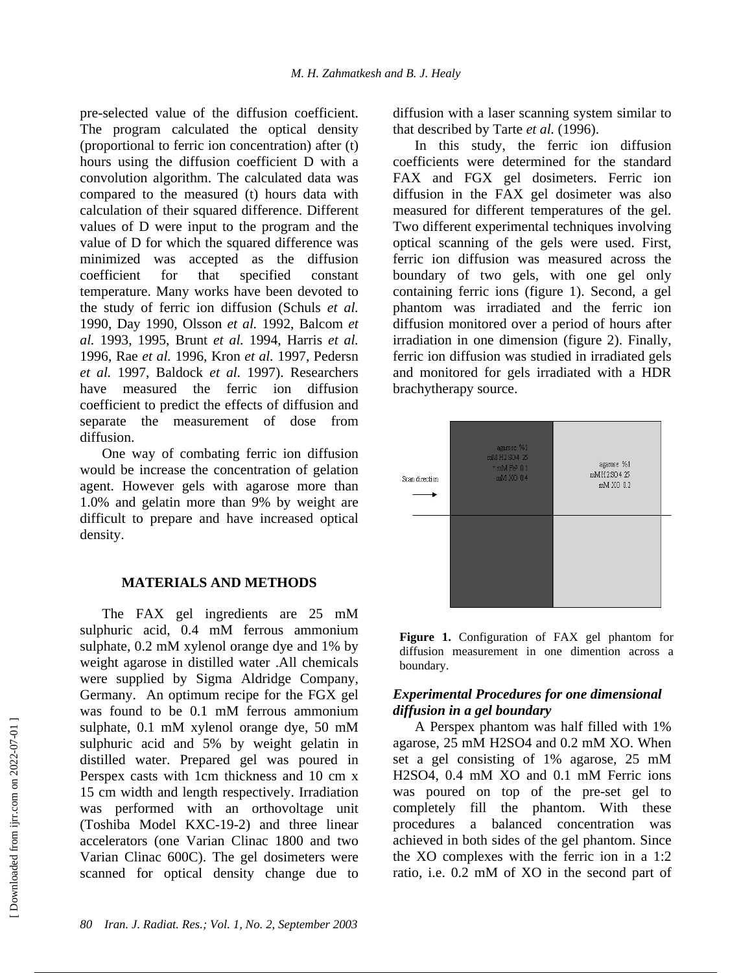pre-selected value of the diffusion coefficient. The program calculated the optical density (proportional to ferric ion concentration) after (t) hours using the diffusion coefficient D with a convolution algorithm. The calculated data was compared to the measured (t) hours data with calculation of their squared difference. Different values of D were input to the program and the value of D for which the squared difference was minimized was accepted as the diffusion coefficient for that specified constant temperature. Many works have been devoted to the study of ferric ion diffusion (Schuls *et al.* 1990, Day 1990, Olsson *et al.* 1992, Balcom *et al.* 1993, 1995, Brunt *et al.* 1994, Harris *et al.* 1996, Rae *et al.* 1996, Kron *et al.* 1997, Pedersn *et al.* 1997, Baldock *et al.* 1997). Researchers have measured the ferric ion diffusion coefficient to predict the effects of diffusion and separate the measurement of dose from diffusion.

One way of combating ferric ion diffusion would be increase the concentration of gelation agent. However gels with agarose more than 1.0% and gelatin more than 9% by weight are difficult to prepare and have increased optical density.

#### **MATERIALS AND METHODS**

The FAX gel ingredients are 25 mM sulphuric acid, 0.4 mM ferrous ammonium sulphate, 0.2 mM xylenol orange dye and 1% by weight agarose in distilled water .All chemicals were supplied by Sigma Aldridge Company, Germany. An optimum recipe for the FGX gel was found to be 0.1 mM ferrous ammonium sulphate, 0.1 mM xylenol orange dye, 50 mM sulphuric acid and 5% by weight gelatin in distilled water. Prepared gel was poured in Perspex casts with 1cm thickness and 10 cm x 15 cm width and length respectively. Irradiation was performed with an orthovoltage unit (Toshiba Model KXC-19-2) and three linear accelerators (one Varian Clinac 1800 and two Varian Clinac 600C). The gel dosimeters were scanned for optical density change due to diffusion with a laser scanning system similar to that described by Tarte *et al.* (1996).

In this study, the ferric ion diffusion coefficients were determined for the standard FAX and FGX gel dosimeters. Ferric ion diffusion in the FAX gel dosimeter was also measured for different temperatures of the gel. Two different experimental techniques involving optical scanning of the gels were used. First, ferric ion diffusion was measured across the boundary of two gels, with one gel only containing ferric ions (figure 1). Second, a gel phantom was irradiated and the ferric ion diffusion monitored over a period of hours after irradiation in one dimension (figure 2). Finally, ferric ion diffusion was studied in irradiated gels and monitored for gels irradiated with a HDR brachytherapy source.



**Figure 1.** Configuration of FAX gel phantom for diffusion measurement in one dimention across a boundary.

# *Experimental Procedures for one dimensional diffusion in a gel boundary*

A Perspex phantom was half filled with 1% agarose, 25 mM H2SO4 and 0.2 mM XO. When set a gel consisting of 1% agarose, 25 mM H2SO4, 0.4 mM XO and 0.1 mM Ferric ions was poured on top of the pre-set gel to completely fill the phantom. With these procedures a balanced concentration was achieved in both sides of the gel phantom. Since the XO complexes with the ferric ion in a 1:2 ratio, i.e. 0.2 mM of XO in the second part of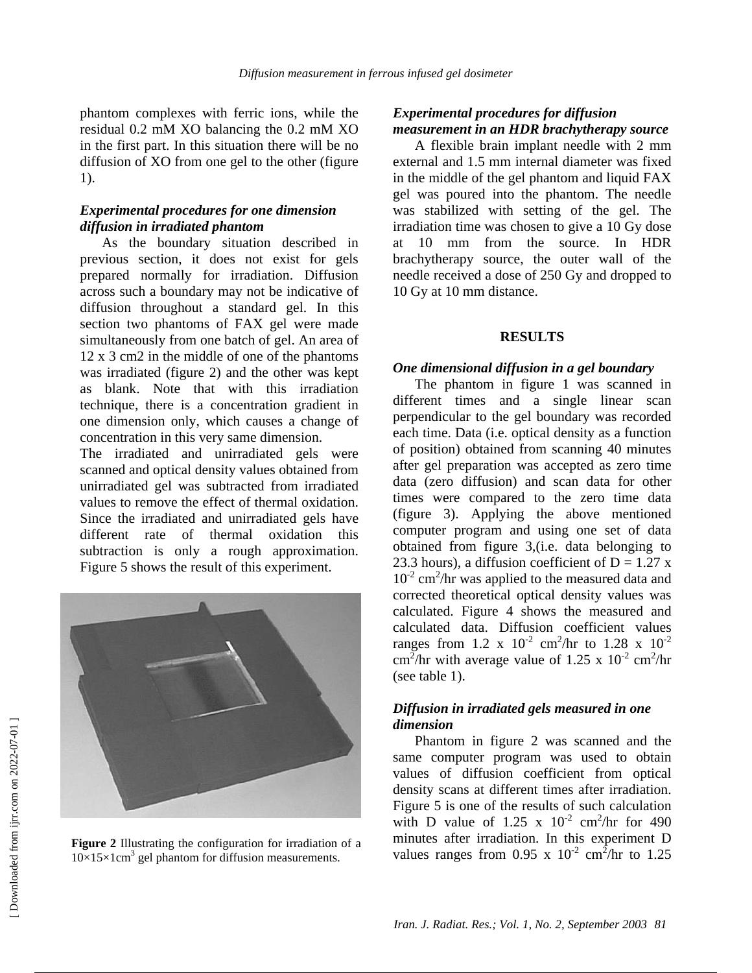phantom complexes with ferric ions, while the residual 0.2 mM XO balancing the 0.2 mM XO in the first part. In this situation there will be no diffusion of XO from one gel to the other (figure 1).

# *Experimental procedures for one dimension diffusion in irradiated phantom*

As the boundary situation described in previous section, it does not exist for gels prepared normally for irradiation. Diffusion across such a boundary may not be indicative of diffusion throughout a standard gel. In this section two phantoms of FAX gel were made simultaneously from one batch of gel. An area of 12 x 3 cm2 in the middle of one of the phantoms was irradiated (figure 2) and the other was kept as blank. Note that with this irradiation technique, there is a concentration gradient in one dimension only, which causes a change of concentration in this very same dimension.

The irradiated and unirradiated gels were scanned and optical density values obtained from unirradiated gel was subtracted from irradiated values to remove the effect of thermal oxidation. Since the irradiated and unirradiated gels have different rate of thermal oxidation this subtraction is only a rough approximation. Figure 5 shows the result of this experiment.



**Figure 2** Illustrating the configuration for irradiation of a  $10\times15\times1$ cm<sup>3</sup> gel phantom for diffusion measurements.

# *Experimental procedures for diffusion measurement in an HDR brachytherapy source*

A flexible brain implant needle with 2 mm external and 1.5 mm internal diameter was fixed in the middle of the gel phantom and liquid FAX gel was poured into the phantom. The needle was stabilized with setting of the gel. The irradiation time was chosen to give a 10 Gy dose at 10 mm from the source. In HDR brachytherapy source, the outer wall of the needle received a dose of 250 Gy and dropped to 10 Gy at 10 mm distance.

## **RESULTS**

## *One dimensional diffusion in a gel boundary*

The phantom in figure 1 was scanned in different times and a single linear scan perpendicular to the gel boundary was recorded each time. Data (i.e. optical density as a function of position) obtained from scanning 40 minutes after gel preparation was accepted as zero time data (zero diffusion) and scan data for other times were compared to the zero time data (figure 3). Applying the above mentioned computer program and using one set of data obtained from figure 3,(i.e. data belonging to 23.3 hours), a diffusion coefficient of  $D = 1.27$  x  $10^{-2}$  cm<sup>2</sup>/hr was applied to the measured data and corrected theoretical optical density values was calculated. Figure 4 shows the measured and calculated data. Diffusion coefficient values ranges from 1.2 x  $10^{-2}$  cm<sup>2</sup>/hr to 1.28 x  $10^{-2}$ cm<sup>2</sup>/hr with average value of 1.25 x 10<sup>-2</sup> cm<sup>2</sup>/hr (see table 1).

## *Diffusion in irradiated gels measured in one dimension*

Phantom in figure 2 was scanned and the same computer program was used to obtain values of diffusion coefficient from optical density scans at different times after irradiation. Figure 5 is one of the results of such calculation with D value of 1.25 x  $10^{-2}$  cm<sup>2</sup>/hr for 490 minutes after irradiation. In this experiment D values ranges from 0.95 x  $10^{-2}$  cm<sup>2</sup>/hr to 1.25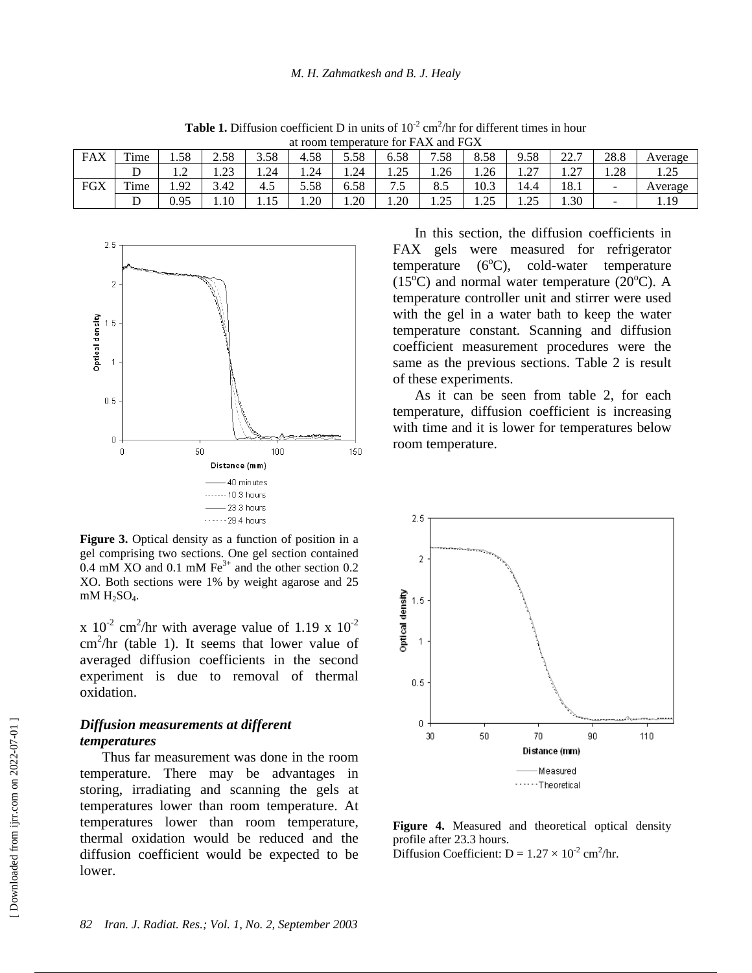| at room temperature for FAX and FGX |                        |      |                        |      |      |      |                     |                    |                          |                                 |                                            |                          |         |
|-------------------------------------|------------------------|------|------------------------|------|------|------|---------------------|--------------------|--------------------------|---------------------------------|--------------------------------------------|--------------------------|---------|
| <b>FAX</b>                          | Time                   | 1.58 | 2.58                   | 3.58 | 4.58 | 5.58 | 5.58                | 7.58               | 8.58                     | 9.58                            | $\cap$<br>$\overline{\phantom{0}}$<br>44 · | 28.8                     | Average |
|                                     |                        | ⊥.∠  | $2^{\circ}$<br>ر ے . 1 | 1.24 | 1.24 | 1.24 | $\gamma$<br>ر ے . ا | 1.26               | 1.26                     | $\mathcal{L}$<br>$\overline{1}$ | $\sim$<br>$\cdot$                          | 1.28                     | ن کے ب  |
| <b>FGX</b>                          | m.<br><sup>'</sup> ime | 1.92 | 3.42                   | -4.5 | 5.58 | 6.58 | −<br>ن .            | 8.5                | 10.3                     | ،4.4                            | 18.1                                       | $\overline{\phantom{0}}$ | Average |
|                                     |                        | 0.95 | 1.10                   | 1.10 | 1.20 | 1.20 | 1.20                | $\gamma$<br>ل که ۱ | $\cap \subset$<br>ن کے و | 25<br>ن ہے . ا                  | 1.30                                       | $\sim$                   | 19      |

**Table 1.** Diffusion coefficient D in units of  $10^{-2}$  cm<sup>2</sup>/hr for different times in hour



Figure 3. Optical density as a function of position in a gel comprising two sections. One gel section contained 0.4 mM XO and 0.1 mM  $\text{Fe}^{3+}$  and the other section 0.2 XO. Both sections were 1% by weight agarose and 25  $mM H_2SO_4$ .

x  $10^{-2}$  cm<sup>2</sup>/hr with average value of 1.19 x  $10^{-2}$ cm<sup>2</sup>/hr (table 1). It seems that lower value of averaged diffusion coefficients in the second experiment is due to removal of thermal oxidation.

#### *Diffusion measurements at different temperatures*

Thus far measurement was done in the room temperature. There may be advantages in storing, irradiating and scanning the gels at temperatures lower than room temperature. At temperatures lower than room temperature, thermal oxidation would be reduced and the diffusion coefficient would be expected to be lower.

In this section, the diffusion coefficients in FAX gels were measured for refrigerator  $temperature (6<sup>o</sup>C)$ , cold-water temperature  $(15^{\circ}C)$  and normal water temperature  $(20^{\circ}C)$ . A temperature controller unit and stirrer were used with the gel in a water bath to keep the water temperature constant. Scanning and diffusion coefficient measurement procedures were the same as the previous sections. Table 2 is result of these experiments.

As it can be seen from table 2, for each temperature, diffusion coefficient is increasing with time and it is lower for temperatures below room temperature.



**Figure 4.** Measured and theoretical optical density profile after 23.3 hours.

Diffusion Coefficient:  $D = 1.27 \times 10^{-2}$  cm<sup>2</sup>/hr.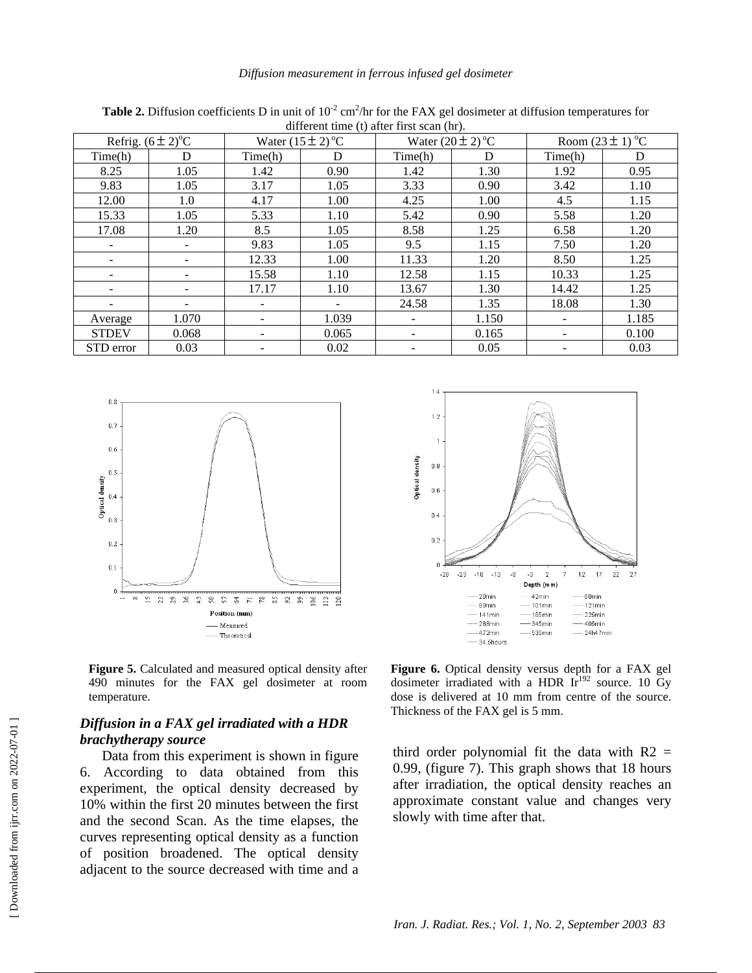| unicient time (t) and that sean $(\text{m})$ . |                              |                          |                                   |         |                       |                      |       |  |  |  |  |
|------------------------------------------------|------------------------------|--------------------------|-----------------------------------|---------|-----------------------|----------------------|-------|--|--|--|--|
|                                                | Refrig. $(6 \pm 2)^{\circ}C$ |                          | Water $(15 \pm 2)$ <sup>o</sup> C |         | Water $(20 \pm 2)$ °C | Room $(23 \pm 1)$ °C |       |  |  |  |  |
| Time(h)                                        | D                            | Time(h)                  | D                                 | Time(h) | D                     | Time(h)              | D     |  |  |  |  |
| 8.25                                           | 1.05                         | 1.42                     | 0.90                              | 1.42    | 1.30                  | 1.92                 | 0.95  |  |  |  |  |
| 9.83                                           | 1.05                         | 3.17                     | 1.05                              | 3.33    | 0.90                  | 3.42                 | 1.10  |  |  |  |  |
| 12.00                                          | 1.0                          | 4.17                     | 1.00                              | 4.25    | 1.00                  | 4.5                  | 1.15  |  |  |  |  |
| 15.33                                          | 1.05                         | 5.33                     | 1.10                              | 5.42    | 0.90                  | 5.58                 | 1.20  |  |  |  |  |
| 17.08                                          | 1.20                         | 8.5                      | 1.05                              | 8.58    | 1.25                  | 6.58                 | 1.20  |  |  |  |  |
|                                                |                              | 9.83                     | 1.05                              | 9.5     | 1.15                  | 7.50                 | 1.20  |  |  |  |  |
|                                                |                              | 12.33                    | 1.00                              | 11.33   | 1.20                  | 8.50                 | 1.25  |  |  |  |  |
| $\overline{\phantom{0}}$                       |                              | 15.58                    | 1.10                              | 12.58   | 1.15                  | 10.33                | 1.25  |  |  |  |  |
|                                                |                              | 17.17                    | 1.10                              | 13.67   | 1.30                  | 14.42                | 1.25  |  |  |  |  |
|                                                |                              | $\overline{\phantom{0}}$ | $\overline{\phantom{a}}$          | 24.58   | 1.35                  | 18.08                | 1.30  |  |  |  |  |
| Average                                        | 1.070                        |                          | 1.039                             |         | 1.150                 |                      | 1.185 |  |  |  |  |
| <b>STDEV</b>                                   | 0.068                        | Ξ.                       | 0.065                             | ۰       | 0.165                 | $\qquad \qquad -$    | 0.100 |  |  |  |  |
| STD error                                      | 0.03                         |                          | 0.02                              |         | 0.05                  |                      | 0.03  |  |  |  |  |

**Table 2.** Diffusion coefficients D in unit of  $10^{-2}$  cm<sup>2</sup>/hr for the FAX gel dosimeter at diffusion temperatures for different time (t) after first scan (hr).





**Figure 5.** Calculated and measured optical density after 490 minutes for the FAX gel dosimeter at room temperature.

# *Diffusion in a FAX gel irradiated with a HDR brachytherapy source*

Data from this experiment is shown in figure 6. According to data obtained from this experiment, the optical density decreased by 10% within the first 20 minutes between the first and the second Scan. As the time elapses, the curves representing optical density as a function of position broadened. The optical density adjacent to the source decreased with time and a

**Figure 6.** Optical density versus depth for a FAX gel dosimeter irradiated with a HDR  $Ir^{192}$  source. 10 Gy dose is delivered at 10 mm from centre of the source. Thickness of the FAX gel is 5 mm.

third order polynomial fit the data with  $R2 =$ 0.99, (figure 7). This graph shows that 18 hours after irradiation, the optical density reaches an approximate constant value and changes very slowly with time after that.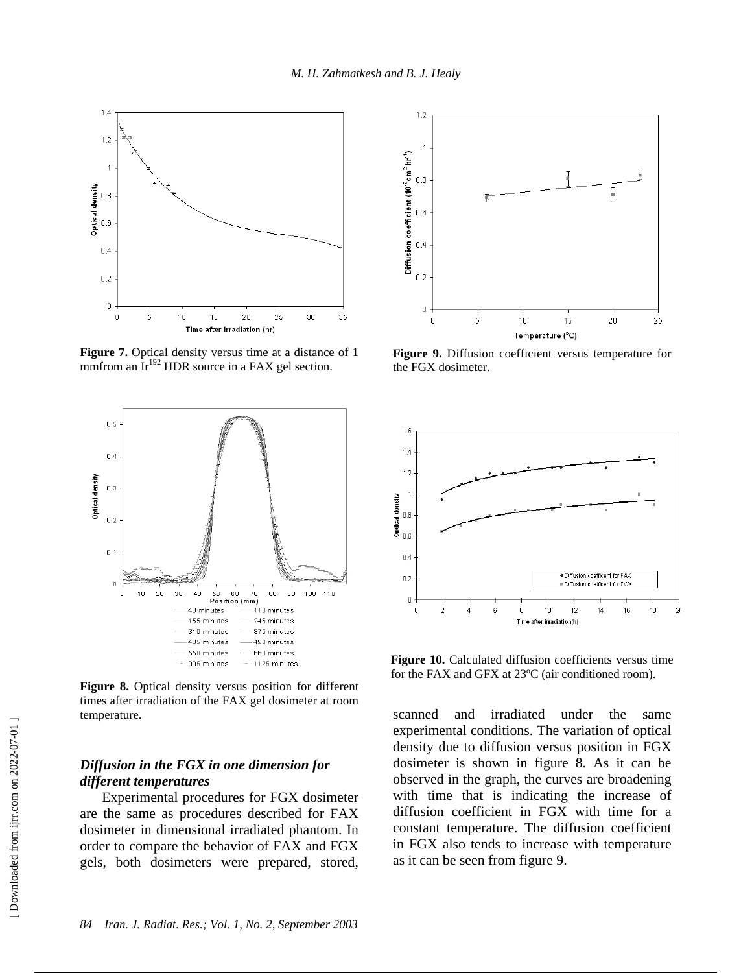



**Figure 7.** Optical density versus time at a distance of 1 mmfrom an  $Ir^{192}$  HDR source in a FAX gel section.



**Figure 8.** Optical density versus position for different times after irradiation of the FAX gel dosimeter at room temperature.

# *Diffusion in the FGX in one dimension for different temperatures*

Experimental procedures for FGX dosimeter are the same as procedures described for FAX dosimeter in dimensional irradiated phantom. In order to compare the behavior of FAX and FGX gels, both dosimeters were prepared, stored,



**Figure 9.** Diffusion coefficient versus temperature for the FGX dosimeter.



**Figure 10.** Calculated diffusion coefficients versus time for the FAX and GFX at 23ºC (air conditioned room).

scanned and irradiated under the same experimental conditions. The variation of optical density due to diffusion versus position in FGX dosimeter is shown in figure 8. As it can be observed in the graph, the curves are broadening with time that is indicating the increase of diffusion coefficient in FGX with time for a constant temperature. The diffusion coefficient in FGX also tends to increase with temperature as it can be seen from figure 9.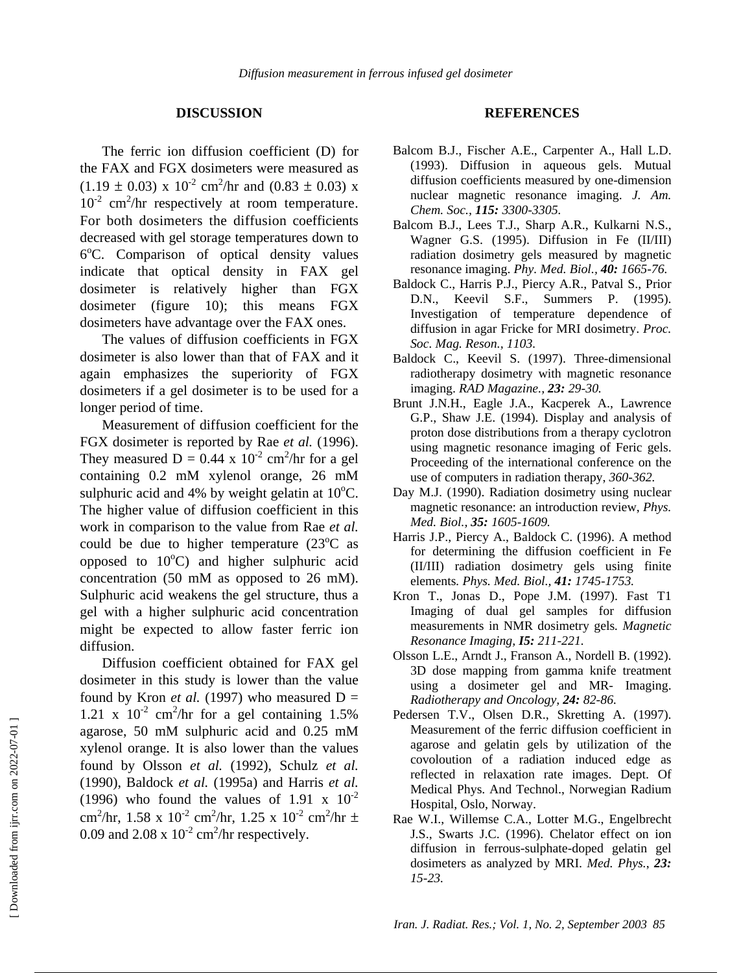#### **DISCUSSION**

The ferric ion diffusion coefficient (D) for the FAX and FGX dosimeters were measured as  $(1.19 \pm 0.03)$  x  $10^{-2}$  cm<sup>2</sup>/hr and  $(0.83 \pm 0.03)$  x  $10^{-2}$  cm<sup>2</sup>/hr respectively at room temperature. For both dosimeters the diffusion coefficients decreased with gel storage temperatures down to 6°C. Comparison of optical density values indicate that optical density in FAX gel dosimeter is relatively higher than FGX dosimeter (figure 10); this means FGX dosimeters have advantage over the FAX ones.

The values of diffusion coefficients in FGX dosimeter is also lower than that of FAX and it again emphasizes the superiority of FGX dosimeters if a gel dosimeter is to be used for a longer period of time.

Measurement of diffusion coefficient for the FGX dosimeter is reported by Rae *et al.* (1996). They measured  $D = 0.44 \times 10^{-2}$  cm<sup>2</sup>/hr for a gel containing 0.2 mM xylenol orange, 26 mM sulphuric acid and 4% by weight gelatin at  $10^{\circ}$ C. The higher value of diffusion coefficient in this work in comparison to the value from Rae *et al.* could be due to higher temperature  $(23^{\circ}C$  as opposed to  $10^{\circ}$ C) and higher sulphuric acid concentration (50 mM as opposed to 26 mM). Sulphuric acid weakens the gel structure, thus a gel with a higher sulphuric acid concentration might be expected to allow faster ferric ion diffusion.

Diffusion coefficient obtained for FAX gel dosimeter in this study is lower than the value found by Kron *et al.* (1997) who measured  $D =$ 1.21 x  $10^{-2}$  cm<sup>2</sup>/hr for a gel containing 1.5% agarose, 50 mM sulphuric acid and 0.25 mM xylenol orange. It is also lower than the values found by Olsson *et al.* (1992), Schulz *et al.* (1990), Baldock *et al.* (1995a) and Harris *et al.* (1996) who found the values of 1.91 x  $10^{-2}$ cm<sup>2</sup>/hr, 1.58 x 10<sup>-2</sup> cm<sup>2</sup>/hr, 1.25 x 10<sup>-2</sup> cm<sup>2</sup>/hr ± 0.09 and 2.08 x  $10^{-2}$  cm<sup>2</sup>/hr respectively.

#### **REFERENCES**

- Balcom B.J., Fischer A.E., Carpenter A., Hall L.D. (1993). Diffusion in aqueous gels. Mutual diffusion coefficients measured by one-dimension nuclear magnetic resonance imaging. *J. Am. Chem. Soc., 115: 3300-3305.*
- Balcom B.J., Lees T.J., Sharp A.R., Kulkarni N.S., Wagner G.S. (1995). Diffusion in Fe (II/III) radiation dosimetry gels measured by magnetic resonance imaging. *Phy. Med. Biol., 40: 1665-76.*
- Baldock C., Harris P.J., Piercy A.R., Patval S., Prior D.N., Keevil S.F., Summers P. (1995). Investigation of temperature dependence of diffusion in agar Fricke for MRI dosimetry. *Proc. Soc. Mag. Reson., 1103.*
- Baldock C., Keevil S. (1997). Three-dimensional radiotherapy dosimetry with magnetic resonance imaging. *RAD Magazine., 23: 29-30.*
- Brunt J.N.H., Eagle J.A., Kacperek A., Lawrence G.P., Shaw J.E. (1994). Display and analysis of proton dose distributions from a therapy cyclotron using magnetic resonance imaging of Feric gels. Proceeding of the international conference on the use of computers in radiation therapy, *360-362.*
- Day M.J. (1990). Radiation dosimetry using nuclear magnetic resonance: an introduction review, *Phys. Med. Biol., 35: 1605-1609.*
- Harris J.P., Piercy A., Baldock C. (1996). A method for determining the diffusion coefficient in Fe (II/III) radiation dosimetry gels using finite elements*. Phys. Med. Biol., 41: 1745-1753.*
- Kron T., Jonas D., Pope J.M. (1997). Fast T1 Imaging of dual gel samples for diffusion measurements in NMR dosimetry gels*. Magnetic Resonance Imaging, I5: 211-221.*
- Olsson L.E., Arndt J., Franson A., Nordell B. (1992). 3D dose mapping from gamma knife treatment using a dosimeter gel and MR- Imaging. *Radiotherapy and Oncology, 24: 82-86.*
- Pedersen T.V., Olsen D.R., Skretting A. (1997). Measurement of the ferric diffusion coefficient in agarose and gelatin gels by utilization of the covoloution of a radiation induced edge as reflected in relaxation rate images. Dept. Of Medical Phys. And Technol., Norwegian Radium Hospital, Oslo, Norway.
- Rae W.I., Willemse C.A., Lotter M.G., Engelbrecht J.S., Swarts J.C. (1996). Chelator effect on ion diffusion in ferrous-sulphate-doped gelatin gel dosimeters as analyzed by MRI. *Med. Phys.*, *23: 15-23.*